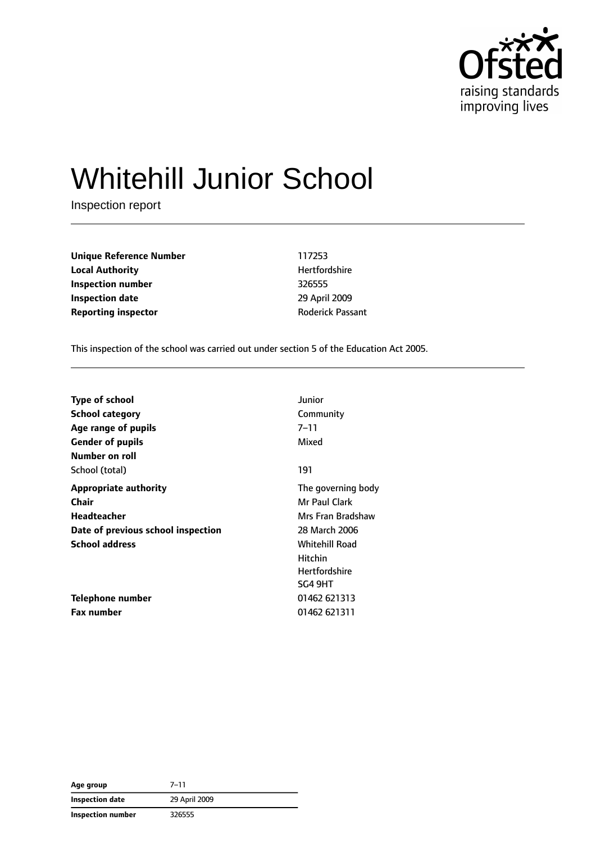

# Whitehill Junior School

Inspection report

**Unique Reference Number** 117253 **Local Authority Material Authority Hertfordshire Inspection number** 326555 **Inspection date** 29 April 2009 **Reporting inspector CONFIDENTIAL REPORTING REPORTING PASSANT** 

This inspection of the school was carried out under section 5 of the Education Act 2005.

| <b>Type of school</b>              | Junior               |
|------------------------------------|----------------------|
| <b>School category</b>             | Community            |
| Age range of pupils                | $7 - 11$             |
| <b>Gender of pupils</b>            | Mixed                |
| Number on roll                     |                      |
| School (total)                     | 191                  |
| <b>Appropriate authority</b>       | The governing body   |
| <b>Chair</b>                       | Mr Paul Clark        |
| Headteacher                        | Mrs Fran Bradshaw    |
| Date of previous school inspection | 28 March 2006        |
| <b>School address</b>              | Whitehill Road       |
|                                    | <b>Hitchin</b>       |
|                                    | <b>Hertfordshire</b> |
|                                    | SG4 9HT              |
| Telephone number                   | 01462 621313         |
| <b>Fax number</b>                  | 01462 621311         |

| Age group                | $7 - 11$      |
|--------------------------|---------------|
| <b>Inspection date</b>   | 29 April 2009 |
| <b>Inspection number</b> | 326555        |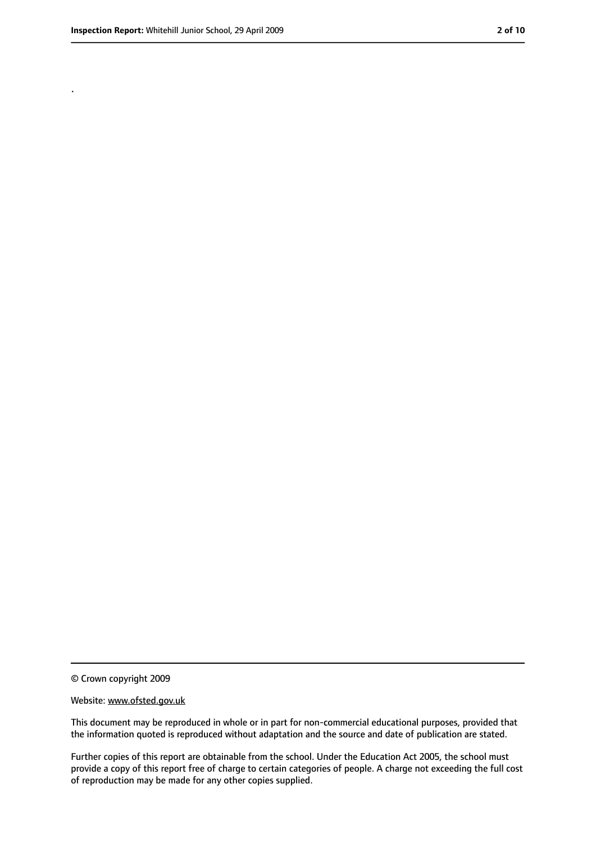.

<sup>©</sup> Crown copyright 2009

Website: www.ofsted.gov.uk

This document may be reproduced in whole or in part for non-commercial educational purposes, provided that the information quoted is reproduced without adaptation and the source and date of publication are stated.

Further copies of this report are obtainable from the school. Under the Education Act 2005, the school must provide a copy of this report free of charge to certain categories of people. A charge not exceeding the full cost of reproduction may be made for any other copies supplied.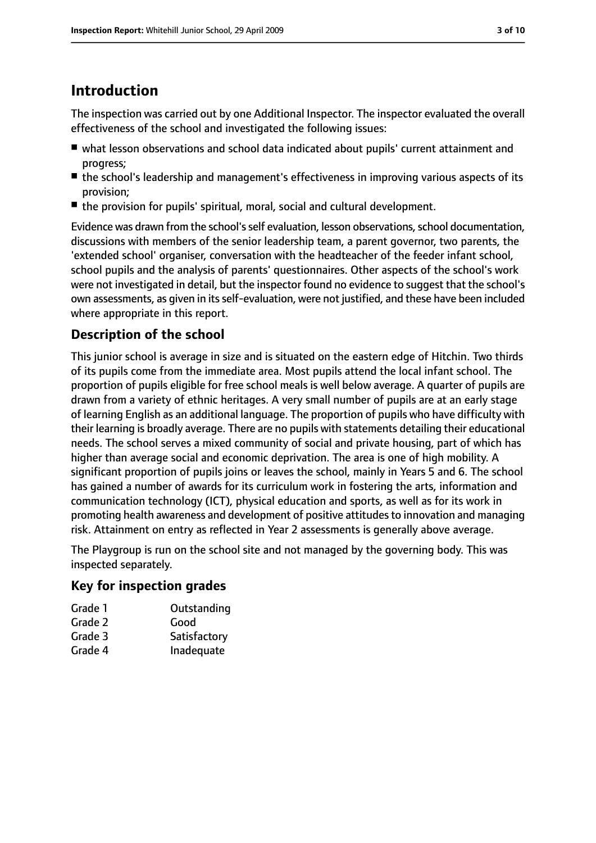## **Introduction**

The inspection was carried out by one Additional Inspector. The inspector evaluated the overall effectiveness of the school and investigated the following issues:

- what lesson observations and school data indicated about pupils' current attainment and progress;
- the school's leadership and management's effectiveness in improving various aspects of its provision;
- the provision for pupils' spiritual, moral, social and cultural development.

Evidence was drawn from the school's self evaluation, lesson observations, school documentation, discussions with members of the senior leadership team, a parent governor, two parents, the 'extended school' organiser, conversation with the headteacher of the feeder infant school, school pupils and the analysis of parents' questionnaires. Other aspects of the school's work were not investigated in detail, but the inspector found no evidence to suggest that the school's own assessments, as given in itsself-evaluation, were not justified, and these have been included where appropriate in this report.

#### **Description of the school**

This junior school is average in size and is situated on the eastern edge of Hitchin. Two thirds of its pupils come from the immediate area. Most pupils attend the local infant school. The proportion of pupils eligible for free school meals is well below average. A quarter of pupils are drawn from a variety of ethnic heritages. A very small number of pupils are at an early stage of learning English as an additional language. The proportion of pupils who have difficulty with their learning is broadly average. There are no pupils with statements detailing their educational needs. The school serves a mixed community of social and private housing, part of which has higher than average social and economic deprivation. The area is one of high mobility. A significant proportion of pupils joins or leaves the school, mainly in Years 5 and 6. The school has gained a number of awards for its curriculum work in fostering the arts, information and communication technology (ICT), physical education and sports, as well as for its work in promoting health awareness and development of positive attitudes to innovation and managing risk. Attainment on entry as reflected in Year 2 assessments is generally above average.

The Playgroup is run on the school site and not managed by the governing body. This was inspected separately.

#### **Key for inspection grades**

| Outstanding  |
|--------------|
| Good         |
| Satisfactory |
| Inadequate   |
|              |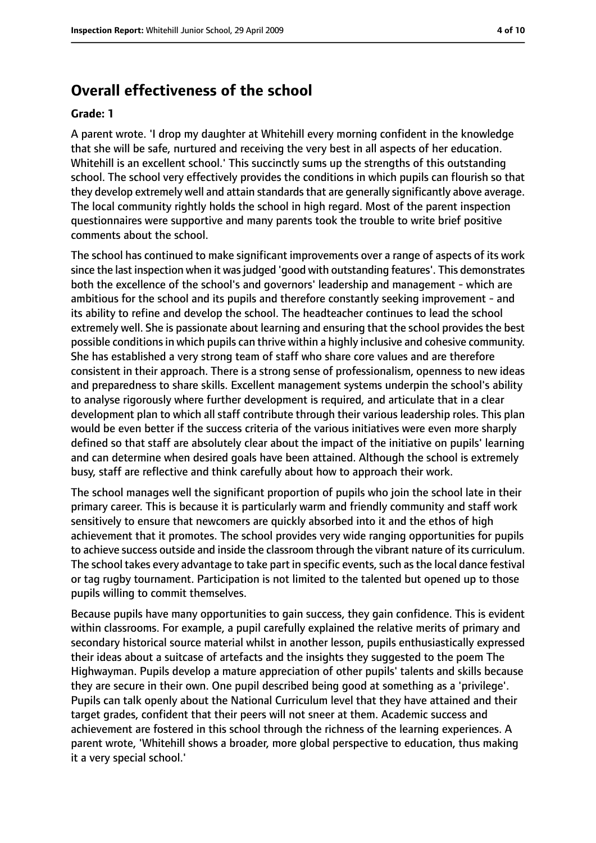#### **Overall effectiveness of the school**

#### **Grade: 1**

A parent wrote. 'I drop my daughter at Whitehill every morning confident in the knowledge that she will be safe, nurtured and receiving the very best in all aspects of her education. Whitehill is an excellent school.' This succinctly sums up the strengths of this outstanding school. The school very effectively provides the conditions in which pupils can flourish so that they develop extremely well and attain standards that are generally significantly above average. The local community rightly holds the school in high regard. Most of the parent inspection questionnaires were supportive and many parents took the trouble to write brief positive comments about the school.

The school has continued to make significant improvements over a range of aspects of its work since the last inspection when it was judged 'good with outstanding features'. This demonstrates both the excellence of the school's and governors' leadership and management - which are ambitious for the school and its pupils and therefore constantly seeking improvement - and its ability to refine and develop the school. The headteacher continues to lead the school extremely well. She is passionate about learning and ensuring that the school provides the best possible conditions in which pupils can thrive within a highly inclusive and cohesive community. She has established a very strong team of staff who share core values and are therefore consistent in their approach. There is a strong sense of professionalism, openness to new ideas and preparedness to share skills. Excellent management systems underpin the school's ability to analyse rigorously where further development is required, and articulate that in a clear development plan to which all staff contribute through their various leadership roles. This plan would be even better if the success criteria of the various initiatives were even more sharply defined so that staff are absolutely clear about the impact of the initiative on pupils' learning and can determine when desired goals have been attained. Although the school is extremely busy, staff are reflective and think carefully about how to approach their work.

The school manages well the significant proportion of pupils who join the school late in their primary career. This is because it is particularly warm and friendly community and staff work sensitively to ensure that newcomers are quickly absorbed into it and the ethos of high achievement that it promotes. The school provides very wide ranging opportunities for pupils to achieve success outside and inside the classroom through the vibrant nature of its curriculum. The school takes every advantage to take part in specific events, such as the local dance festival or tag rugby tournament. Participation is not limited to the talented but opened up to those pupils willing to commit themselves.

Because pupils have many opportunities to gain success, they gain confidence. This is evident within classrooms. For example, a pupil carefully explained the relative merits of primary and secondary historical source material whilst in another lesson, pupils enthusiastically expressed their ideas about a suitcase of artefacts and the insights they suggested to the poem The Highwayman. Pupils develop a mature appreciation of other pupils' talents and skills because they are secure in their own. One pupil described being good at something as a 'privilege'. Pupils can talk openly about the National Curriculum level that they have attained and their target grades, confident that their peers will not sneer at them. Academic success and achievement are fostered in this school through the richness of the learning experiences. A parent wrote, 'Whitehill shows a broader, more global perspective to education, thus making it a very special school.'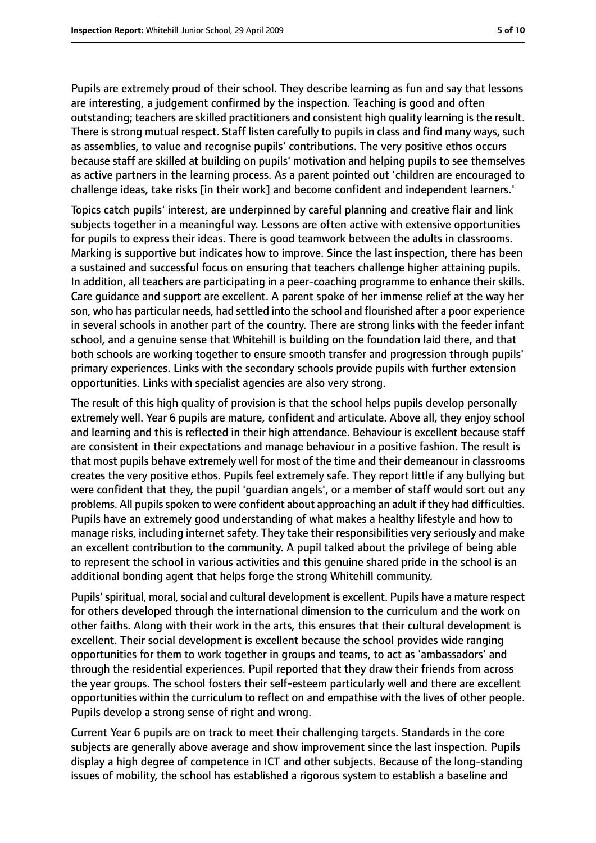Pupils are extremely proud of their school. They describe learning as fun and say that lessons are interesting, a judgement confirmed by the inspection. Teaching is good and often outstanding; teachers are skilled practitioners and consistent high quality learning is the result. There is strong mutual respect. Staff listen carefully to pupils in class and find many ways, such as assemblies, to value and recognise pupils' contributions. The very positive ethos occurs because staff are skilled at building on pupils' motivation and helping pupils to see themselves as active partners in the learning process. As a parent pointed out 'children are encouraged to challenge ideas, take risks [in their work] and become confident and independent learners.'

Topics catch pupils' interest, are underpinned by careful planning and creative flair and link subjects together in a meaningful way. Lessons are often active with extensive opportunities for pupils to express their ideas. There is good teamwork between the adults in classrooms. Marking is supportive but indicates how to improve. Since the last inspection, there has been a sustained and successful focus on ensuring that teachers challenge higher attaining pupils. In addition, all teachers are participating in a peer-coaching programme to enhance their skills. Care guidance and support are excellent. A parent spoke of her immense relief at the way her son, who has particular needs, had settled into the school and flourished after a poor experience in several schools in another part of the country. There are strong links with the feeder infant school, and a genuine sense that Whitehill is building on the foundation laid there, and that both schools are working together to ensure smooth transfer and progression through pupils' primary experiences. Links with the secondary schools provide pupils with further extension opportunities. Links with specialist agencies are also very strong.

The result of this high quality of provision is that the school helps pupils develop personally extremely well. Year 6 pupils are mature, confident and articulate. Above all, they enjoy school and learning and this is reflected in their high attendance. Behaviour is excellent because staff are consistent in their expectations and manage behaviour in a positive fashion. The result is that most pupils behave extremely well for most of the time and their demeanour in classrooms creates the very positive ethos. Pupils feel extremely safe. They report little if any bullying but were confident that they, the pupil 'guardian angels', or a member of staff would sort out any problems. All pupils spoken to were confident about approaching an adult if they had difficulties. Pupils have an extremely good understanding of what makes a healthy lifestyle and how to manage risks, including internet safety. They take their responsibilities very seriously and make an excellent contribution to the community. A pupil talked about the privilege of being able to represent the school in various activities and this genuine shared pride in the school is an additional bonding agent that helps forge the strong Whitehill community.

Pupils' spiritual, moral, social and cultural development is excellent. Pupils have a mature respect for others developed through the international dimension to the curriculum and the work on other faiths. Along with their work in the arts, this ensures that their cultural development is excellent. Their social development is excellent because the school provides wide ranging opportunities for them to work together in groups and teams, to act as 'ambassadors' and through the residential experiences. Pupil reported that they draw their friends from across the year groups. The school fosters their self-esteem particularly well and there are excellent opportunities within the curriculum to reflect on and empathise with the lives of other people. Pupils develop a strong sense of right and wrong.

Current Year 6 pupils are on track to meet their challenging targets. Standards in the core subjects are generally above average and show improvement since the last inspection. Pupils display a high degree of competence in ICT and other subjects. Because of the long-standing issues of mobility, the school has established a rigorous system to establish a baseline and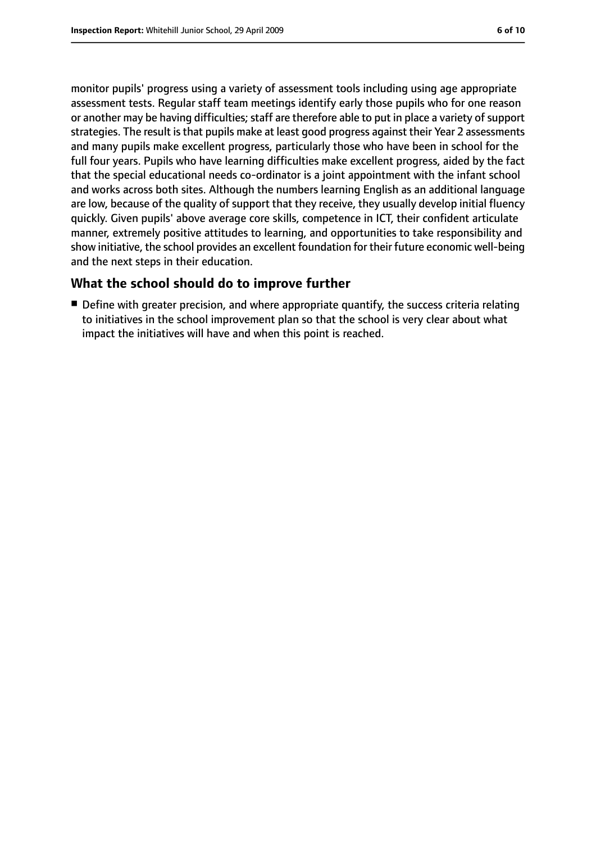monitor pupils' progress using a variety of assessment tools including using age appropriate assessment tests. Regular staff team meetings identify early those pupils who for one reason or another may be having difficulties; staff are therefore able to put in place a variety of support strategies. The result is that pupils make at least good progress against their Year 2 assessments and many pupils make excellent progress, particularly those who have been in school for the full four years. Pupils who have learning difficulties make excellent progress, aided by the fact that the special educational needs co-ordinator is a joint appointment with the infant school and works across both sites. Although the numbers learning English as an additional language are low, because of the quality of support that they receive, they usually develop initial fluency quickly. Given pupils' above average core skills, competence in ICT, their confident articulate manner, extremely positive attitudes to learning, and opportunities to take responsibility and show initiative, the school provides an excellent foundation for their future economic well-being and the next steps in their education.

#### **What the school should do to improve further**

■ Define with greater precision, and where appropriate quantify, the success criteria relating to initiatives in the school improvement plan so that the school is very clear about what impact the initiatives will have and when this point is reached.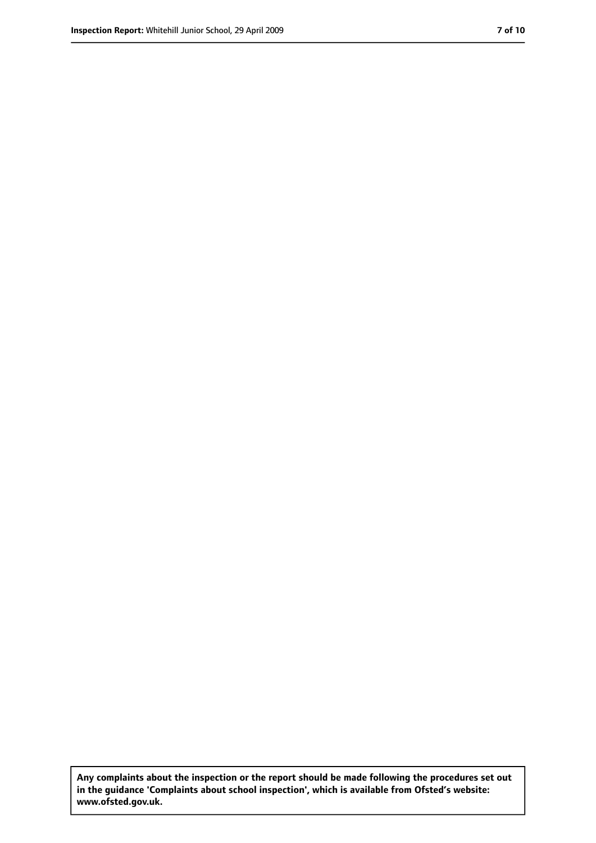**Any complaints about the inspection or the report should be made following the procedures set out in the guidance 'Complaints about school inspection', which is available from Ofsted's website: www.ofsted.gov.uk.**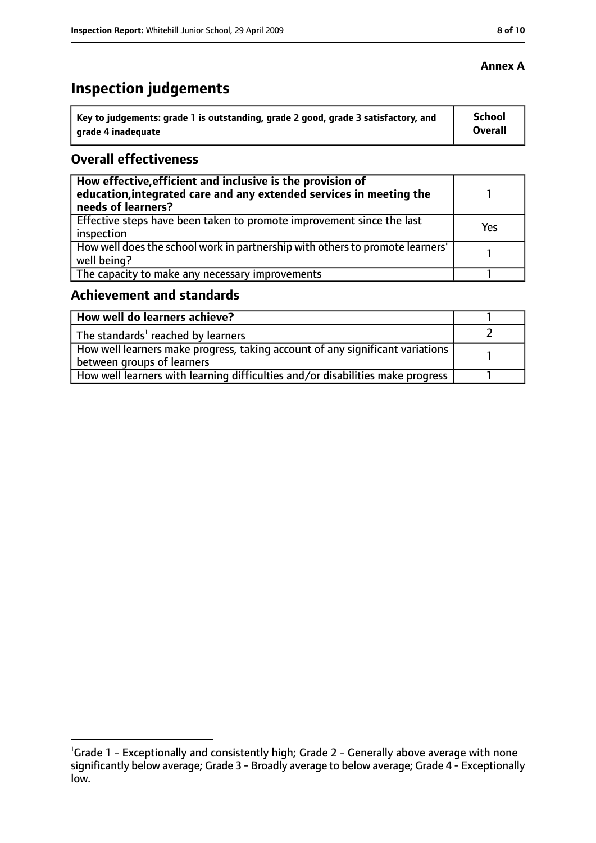# **Inspection judgements**

| $^{\backprime}$ Key to judgements: grade 1 is outstanding, grade 2 good, grade 3 satisfactory, and | <b>School</b> |
|----------------------------------------------------------------------------------------------------|---------------|
| arade 4 inadeguate                                                                                 | Overall       |

#### **Overall effectiveness**

| How effective, efficient and inclusive is the provision of<br>education, integrated care and any extended services in meeting the<br>needs of learners? |     |
|---------------------------------------------------------------------------------------------------------------------------------------------------------|-----|
| Effective steps have been taken to promote improvement since the last<br>inspection                                                                     | Yes |
| How well does the school work in partnership with others to promote learners'<br>well being?                                                            |     |
| The capacity to make any necessary improvements                                                                                                         |     |

#### **Achievement and standards**

| How well do learners achieve?                                                  |  |
|--------------------------------------------------------------------------------|--|
| The standards <sup>1</sup> reached by learners                                 |  |
| How well learners make progress, taking account of any significant variations  |  |
| between groups of learners                                                     |  |
| How well learners with learning difficulties and/or disabilities make progress |  |

#### **Annex A**

<sup>&</sup>lt;sup>1</sup>Grade 1 - Exceptionally and consistently high; Grade 2 - Generally above average with none significantly below average; Grade 3 - Broadly average to below average; Grade 4 - Exceptionally low.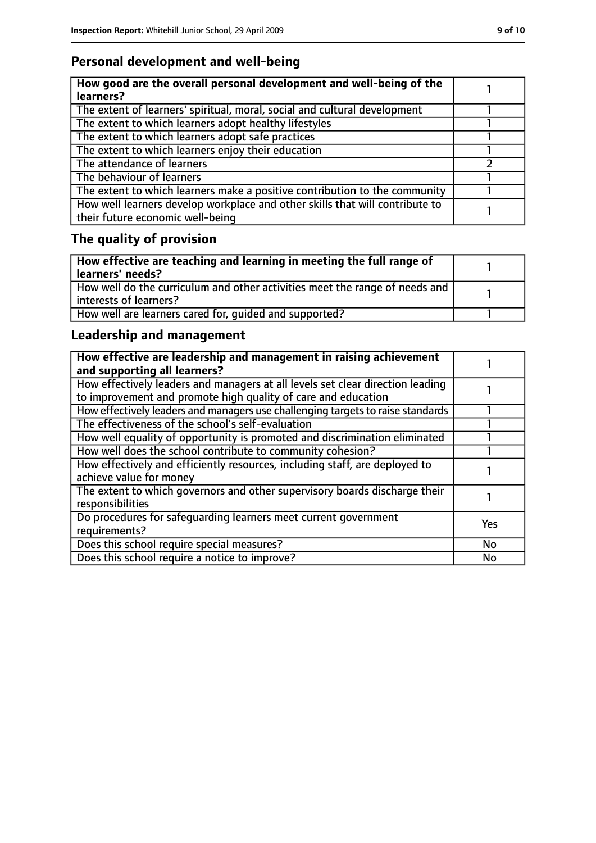### **Personal development and well-being**

| How good are the overall personal development and well-being of the<br>learners?                                 |  |
|------------------------------------------------------------------------------------------------------------------|--|
| The extent of learners' spiritual, moral, social and cultural development                                        |  |
| The extent to which learners adopt healthy lifestyles                                                            |  |
| The extent to which learners adopt safe practices                                                                |  |
| The extent to which learners enjoy their education                                                               |  |
| The attendance of learners                                                                                       |  |
| The behaviour of learners                                                                                        |  |
| The extent to which learners make a positive contribution to the community                                       |  |
| How well learners develop workplace and other skills that will contribute to<br>their future economic well-being |  |

# **The quality of provision**

| How effective are teaching and learning in meeting the full range of<br>learners' needs?              |  |
|-------------------------------------------------------------------------------------------------------|--|
| How well do the curriculum and other activities meet the range of needs and<br>interests of learners? |  |
| How well are learners cared for, quided and supported?                                                |  |

### **Leadership and management**

| How effective are leadership and management in raising achievement<br>and supporting all learners?                                              |            |
|-------------------------------------------------------------------------------------------------------------------------------------------------|------------|
| How effectively leaders and managers at all levels set clear direction leading<br>to improvement and promote high quality of care and education |            |
| How effectively leaders and managers use challenging targets to raise standards                                                                 |            |
| The effectiveness of the school's self-evaluation                                                                                               |            |
| How well equality of opportunity is promoted and discrimination eliminated                                                                      |            |
| How well does the school contribute to community cohesion?                                                                                      |            |
| How effectively and efficiently resources, including staff, are deployed to<br>achieve value for money                                          |            |
| The extent to which governors and other supervisory boards discharge their<br>responsibilities                                                  |            |
| Do procedures for safequarding learners meet current government<br>requirements?                                                                | <b>Yes</b> |
| Does this school require special measures?                                                                                                      | <b>No</b>  |
| Does this school require a notice to improve?                                                                                                   | No         |